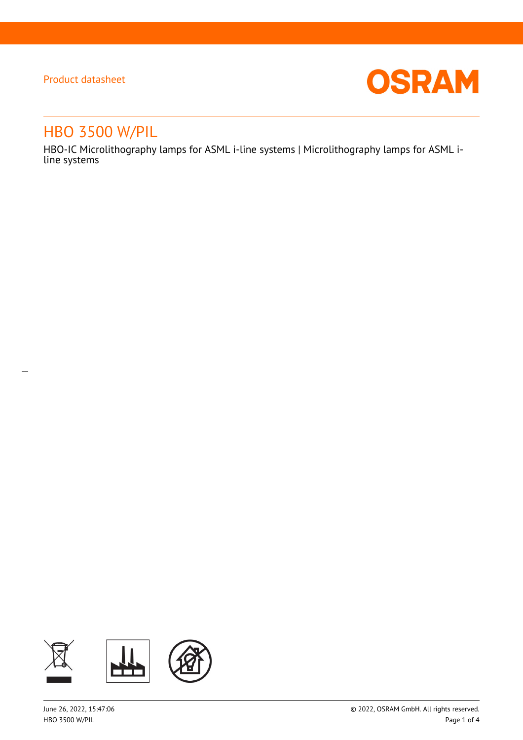$\overline{a}$ 



# HBO 3500 W/PIL

HBO-IC Microlithography lamps for ASML i-line systems | Microlithography lamps for ASML iline systems

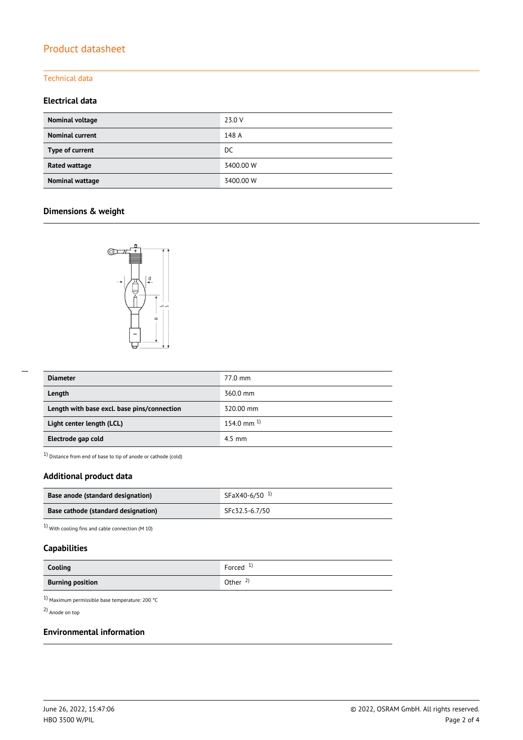#### Technical data

### **Electrical data**

| Nominal voltage        | 23.0 V    |
|------------------------|-----------|
| <b>Nominal current</b> | 148 A     |
| Type of current        | DC.       |
| Rated wattage          | 3400.00 W |
| Nominal wattage        | 3400.00 W |

### **Dimensions & weight**



| --- |  |
|-----|--|
|     |  |
|     |  |
|     |  |

| <b>Diameter</b>                             | 77.0 mm          |
|---------------------------------------------|------------------|
| Length                                      | 360.0 mm         |
| Length with base excl. base pins/connection | 320.00 mm        |
| Light center length (LCL)                   | 154.0 mm $^{1}$  |
| Electrode gap cold                          | $4.5 \text{ mm}$ |

 $1)$  Distance from end of base to tip of anode or cathode (cold)

### **Additional product data**

| Base anode (standard designation)   | SFaX40-6/50 <sup>1</sup> |
|-------------------------------------|--------------------------|
| Base cathode (standard designation) | SFc32.5-6.7/50           |

 $1)$  With cooling fins and cable connection (M  $10)$ 

### **Capabilities**

| Cooling                 | Forced $1$          |
|-------------------------|---------------------|
| <b>Burning position</b> | Other $\frac{2}{3}$ |

1) Maximum permissible base temperature: 200 °C

2) Anode on top

### **Environmental information**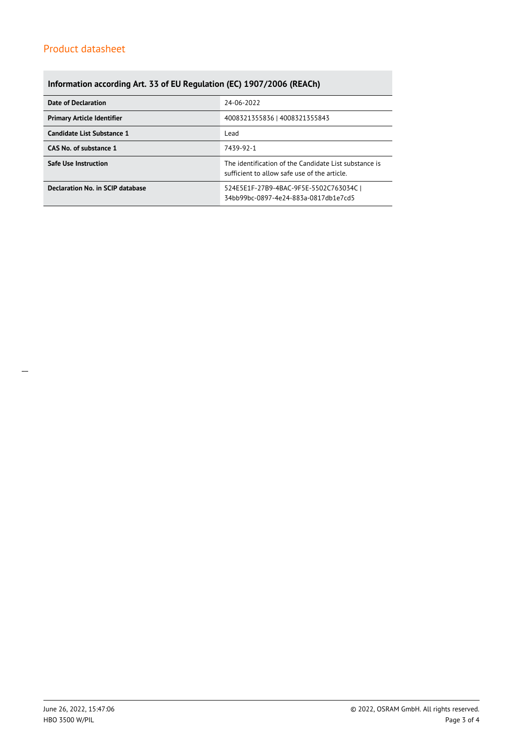## **Information according Art. 33 of EU Regulation (EC) 1907/2006 (REACh)**

| <b>Date of Declaration</b>        | 24-06-2022                                                                                            |  |  |
|-----------------------------------|-------------------------------------------------------------------------------------------------------|--|--|
| <b>Primary Article Identifier</b> | 4008321355836   4008321355843                                                                         |  |  |
| Candidate List Substance 1        | Lead                                                                                                  |  |  |
| CAS No. of substance 1            | 7439-92-1                                                                                             |  |  |
| <b>Safe Use Instruction</b>       | The identification of the Candidate List substance is<br>sufficient to allow safe use of the article. |  |  |
| Declaration No. in SCIP database  | 524E5E1F-27B9-4BAC-9F5E-5502C763034C  <br>34bb99bc-0897-4e24-883a-0817db1e7cd5                        |  |  |